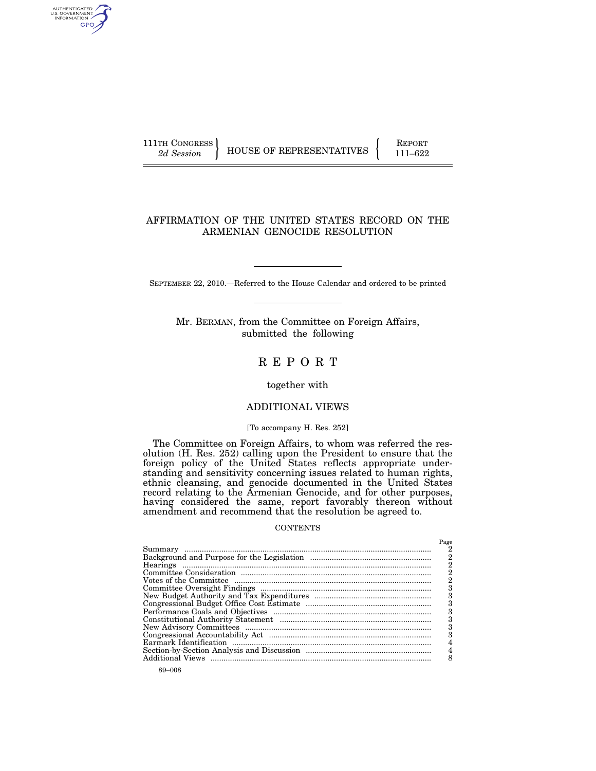AUTHENTICATED<br>U.S. GOVERNMENT<br>INFORMATION GPO

111TH CONGRESS HOUSE OF REPRESENTATIVES FEPORT 111–622

# AFFIRMATION OF THE UNITED STATES RECORD ON THE ARMENIAN GENOCIDE RESOLUTION

SEPTEMBER 22, 2010.—Referred to the House Calendar and ordered to be printed

Mr. BERMAN, from the Committee on Foreign Affairs, submitted the following

# R E P O R T

together with

# ADDITIONAL VIEWS

## [To accompany H. Res. 252]

The Committee on Foreign Affairs, to whom was referred the resolution (H. Res. 252) calling upon the President to ensure that the foreign policy of the United States reflects appropriate understanding and sensitivity concerning issues related to human rights, ethnic cleansing, and genocide documented in the United States record relating to the Armenian Genocide, and for other purposes, having considered the same, report favorably thereon without amendment and recommend that the resolution be agreed to.

#### **CONTENTS**

|                         | Page |
|-------------------------|------|
|                         | 2    |
|                         | 2    |
|                         | 2    |
|                         | 2    |
|                         |      |
|                         | З    |
|                         | 3    |
|                         | З    |
|                         |      |
|                         | З    |
|                         |      |
|                         |      |
|                         |      |
|                         |      |
| <b>Additional Views</b> |      |
|                         |      |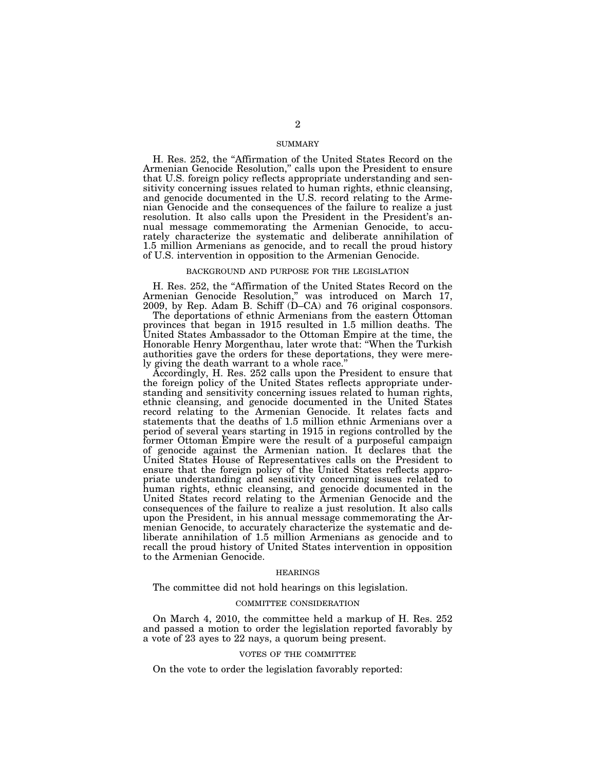## SUMMARY

H. Res. 252, the ''Affirmation of the United States Record on the Armenian Genocide Resolution,'' calls upon the President to ensure that U.S. foreign policy reflects appropriate understanding and sensitivity concerning issues related to human rights, ethnic cleansing, and genocide documented in the U.S. record relating to the Armenian Genocide and the consequences of the failure to realize a just resolution. It also calls upon the President in the President's annual message commemorating the Armenian Genocide, to accurately characterize the systematic and deliberate annihilation of 1.5 million Armenians as genocide, and to recall the proud history of U.S. intervention in opposition to the Armenian Genocide.

### BACKGROUND AND PURPOSE FOR THE LEGISLATION

H. Res. 252, the ''Affirmation of the United States Record on the Armenian Genocide Resolution,'' was introduced on March 17, 2009, by Rep. Adam B. Schiff (D–CA) and 76 original cosponsors.

The deportations of ethnic Armenians from the eastern Ottoman provinces that began in 1915 resulted in 1.5 million deaths. The United States Ambassador to the Ottoman Empire at the time, the Honorable Henry Morgenthau, later wrote that: ''When the Turkish authorities gave the orders for these deportations, they were merely giving the death warrant to a whole race.''

Accordingly, H. Res. 252 calls upon the President to ensure that the foreign policy of the United States reflects appropriate understanding and sensitivity concerning issues related to human rights, ethnic cleansing, and genocide documented in the United States record relating to the Armenian Genocide. It relates facts and statements that the deaths of 1.5 million ethnic Armenians over a period of several years starting in 1915 in regions controlled by the former Ottoman Empire were the result of a purposeful campaign of genocide against the Armenian nation. It declares that the United States House of Representatives calls on the President to ensure that the foreign policy of the United States reflects appropriate understanding and sensitivity concerning issues related to human rights, ethnic cleansing, and genocide documented in the United States record relating to the Armenian Genocide and the consequences of the failure to realize a just resolution. It also calls upon the President, in his annual message commemorating the Armenian Genocide, to accurately characterize the systematic and deliberate annihilation of 1.5 million Armenians as genocide and to recall the proud history of United States intervention in opposition to the Armenian Genocide.

## HEARINGS

The committee did not hold hearings on this legislation.

## COMMITTEE CONSIDERATION

On March 4, 2010, the committee held a markup of H. Res. 252 and passed a motion to order the legislation reported favorably by a vote of 23 ayes to 22 nays, a quorum being present.

## VOTES OF THE COMMITTEE

On the vote to order the legislation favorably reported: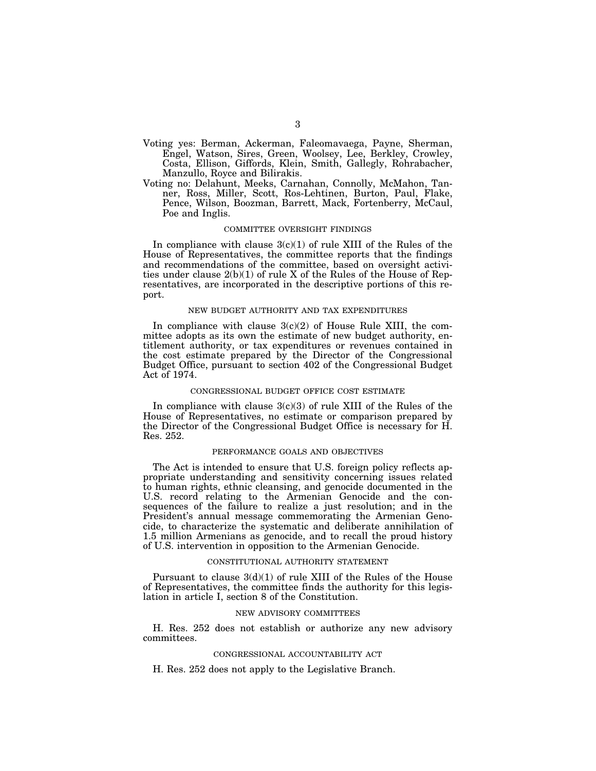- Voting yes: Berman, Ackerman, Faleomavaega, Payne, Sherman, Engel, Watson, Sires, Green, Woolsey, Lee, Berkley, Crowley, Costa, Ellison, Giffords, Klein, Smith, Gallegly, Rohrabacher, Manzullo, Royce and Bilirakis.
- Voting no: Delahunt, Meeks, Carnahan, Connolly, McMahon, Tanner, Ross, Miller, Scott, Ros-Lehtinen, Burton, Paul, Flake, Pence, Wilson, Boozman, Barrett, Mack, Fortenberry, McCaul, Poe and Inglis.

## COMMITTEE OVERSIGHT FINDINGS

In compliance with clause  $3(c)(1)$  of rule XIII of the Rules of the House of Representatives, the committee reports that the findings and recommendations of the committee, based on oversight activities under clause  $2(b)(1)$  of rule X of the Rules of the House of Representatives, are incorporated in the descriptive portions of this report.

#### NEW BUDGET AUTHORITY AND TAX EXPENDITURES

In compliance with clause  $3(c)(2)$  of House Rule XIII, the committee adopts as its own the estimate of new budget authority, entitlement authority, or tax expenditures or revenues contained in the cost estimate prepared by the Director of the Congressional Budget Office, pursuant to section 402 of the Congressional Budget Act of 1974.

## CONGRESSIONAL BUDGET OFFICE COST ESTIMATE

In compliance with clause  $3(c)(3)$  of rule XIII of the Rules of the House of Representatives, no estimate or comparison prepared by the Director of the Congressional Budget Office is necessary for H. Res. 252.

#### PERFORMANCE GOALS AND OBJECTIVES

The Act is intended to ensure that U.S. foreign policy reflects appropriate understanding and sensitivity concerning issues related to human rights, ethnic cleansing, and genocide documented in the U.S. record relating to the Armenian Genocide and the consequences of the failure to realize a just resolution; and in the President's annual message commemorating the Armenian Genocide, to characterize the systematic and deliberate annihilation of 1.5 million Armenians as genocide, and to recall the proud history of U.S. intervention in opposition to the Armenian Genocide.

#### CONSTITUTIONAL AUTHORITY STATEMENT

Pursuant to clause 3(d)(1) of rule XIII of the Rules of the House of Representatives, the committee finds the authority for this legislation in article I, section 8 of the Constitution.

#### NEW ADVISORY COMMITTEES

H. Res. 252 does not establish or authorize any new advisory committees.

#### CONGRESSIONAL ACCOUNTABILITY ACT

H. Res. 252 does not apply to the Legislative Branch.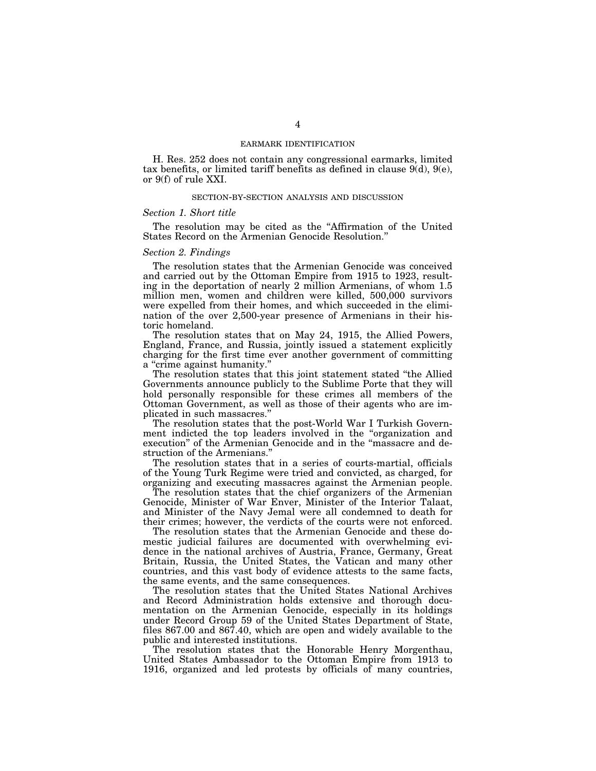## EARMARK IDENTIFICATION

H. Res. 252 does not contain any congressional earmarks, limited tax benefits, or limited tariff benefits as defined in clause 9(d), 9(e), or 9(f) of rule XXI.

## SECTION-BY-SECTION ANALYSIS AND DISCUSSION

#### *Section 1. Short title*

The resolution may be cited as the "Affirmation of the United States Record on the Armenian Genocide Resolution.''

## *Section 2. Findings*

The resolution states that the Armenian Genocide was conceived and carried out by the Ottoman Empire from 1915 to 1923, resulting in the deportation of nearly 2 million Armenians, of whom 1.5 million men, women and children were killed, 500,000 survivors were expelled from their homes, and which succeeded in the elimination of the over 2,500-year presence of Armenians in their historic homeland.

The resolution states that on May 24, 1915, the Allied Powers, England, France, and Russia, jointly issued a statement explicitly charging for the first time ever another government of committing a "crime against humanity."

The resolution states that this joint statement stated ''the Allied Governments announce publicly to the Sublime Porte that they will hold personally responsible for these crimes all members of the Ottoman Government, as well as those of their agents who are implicated in such massacres.''

The resolution states that the post-World War I Turkish Government indicted the top leaders involved in the ''organization and execution'' of the Armenian Genocide and in the ''massacre and destruction of the Armenians.''

The resolution states that in a series of courts-martial, officials of the Young Turk Regime were tried and convicted, as charged, for organizing and executing massacres against the Armenian people.

The resolution states that the chief organizers of the Armenian Genocide, Minister of War Enver, Minister of the Interior Talaat, and Minister of the Navy Jemal were all condemned to death for their crimes; however, the verdicts of the courts were not enforced.

The resolution states that the Armenian Genocide and these domestic judicial failures are documented with overwhelming evidence in the national archives of Austria, France, Germany, Great Britain, Russia, the United States, the Vatican and many other countries, and this vast body of evidence attests to the same facts, the same events, and the same consequences.

The resolution states that the United States National Archives and Record Administration holds extensive and thorough documentation on the Armenian Genocide, especially in its holdings under Record Group 59 of the United States Department of State, files 867.00 and 867.40, which are open and widely available to the public and interested institutions.

The resolution states that the Honorable Henry Morgenthau, United States Ambassador to the Ottoman Empire from 1913 to 1916, organized and led protests by officials of many countries,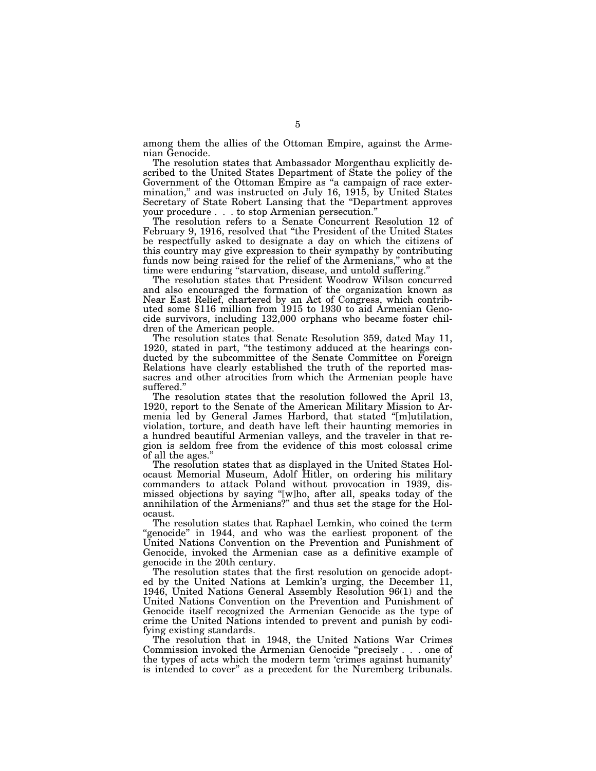among them the allies of the Ottoman Empire, against the Armenian Genocide.

The resolution states that Ambassador Morgenthau explicitly described to the United States Department of State the policy of the Government of the Ottoman Empire as ''a campaign of race extermination," and was instructed on July 16, 1915, by United States Secretary of State Robert Lansing that the ''Department approves your procedure . . . to stop Armenian persecution.''

The resolution refers to a Senate Concurrent Resolution 12 of February 9, 1916, resolved that ''the President of the United States be respectfully asked to designate a day on which the citizens of this country may give expression to their sympathy by contributing funds now being raised for the relief of the Armenians," who at the time were enduring ''starvation, disease, and untold suffering.''

The resolution states that President Woodrow Wilson concurred and also encouraged the formation of the organization known as Near East Relief, chartered by an Act of Congress, which contributed some \$116 million from 1915 to 1930 to aid Armenian Genocide survivors, including 132,000 orphans who became foster children of the American people.

The resolution states that Senate Resolution 359, dated May 11, 1920, stated in part, "the testimony adduced at the hearings conducted by the subcommittee of the Senate Committee on Foreign Relations have clearly established the truth of the reported massacres and other atrocities from which the Armenian people have suffered.''

The resolution states that the resolution followed the April 13, 1920, report to the Senate of the American Military Mission to Armenia led by General James Harbord, that stated ''[m]utilation, violation, torture, and death have left their haunting memories in a hundred beautiful Armenian valleys, and the traveler in that region is seldom free from the evidence of this most colossal crime of all the ages.''

The resolution states that as displayed in the United States Holocaust Memorial Museum, Adolf Hitler, on ordering his military commanders to attack Poland without provocation in 1939, dismissed objections by saying ''[w]ho, after all, speaks today of the annihilation of the Armenians?'' and thus set the stage for the Holocaust.

The resolution states that Raphael Lemkin, who coined the term "genocide" in 1944, and who was the earliest proponent of the United Nations Convention on the Prevention and Punishment of Genocide, invoked the Armenian case as a definitive example of genocide in the 20th century.

The resolution states that the first resolution on genocide adopted by the United Nations at Lemkin's urging, the December 11, 1946, United Nations General Assembly Resolution 96(1) and the United Nations Convention on the Prevention and Punishment of Genocide itself recognized the Armenian Genocide as the type of crime the United Nations intended to prevent and punish by codifying existing standards.

The resolution that in 1948, the United Nations War Crimes Commission invoked the Armenian Genocide ''precisely . . . one of the types of acts which the modern term 'crimes against humanity' is intended to cover'' as a precedent for the Nuremberg tribunals.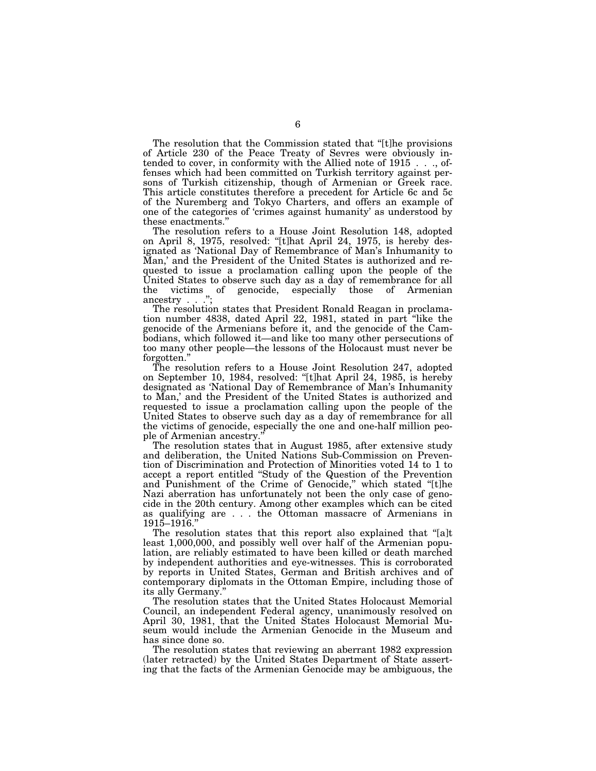The resolution that the Commission stated that ''[t]he provisions of Article 230 of the Peace Treaty of Sevres were obviously intended to cover, in conformity with the Allied note of 1915 . . ., offenses which had been committed on Turkish territory against persons of Turkish citizenship, though of Armenian or Greek race. This article constitutes therefore a precedent for Article 6c and 5c of the Nuremberg and Tokyo Charters, and offers an example of one of the categories of 'crimes against humanity' as understood by these enactments.''

The resolution refers to a House Joint Resolution 148, adopted on April 8, 1975, resolved: ''[t]hat April 24, 1975, is hereby designated as 'National Day of Remembrance of Man's Inhumanity to Man,' and the President of the United States is authorized and requested to issue a proclamation calling upon the people of the United States to observe such day as a day of remembrance for all the victims of genocide, especially those of Armenian ancestry . . .'';

The resolution states that President Ronald Reagan in proclamation number 4838, dated April 22, 1981, stated in part ''like the genocide of the Armenians before it, and the genocide of the Cambodians, which followed it—and like too many other persecutions of too many other people—the lessons of the Holocaust must never be forgotten.''

The resolution refers to a House Joint Resolution 247, adopted on September 10, 1984, resolved: ''[t]hat April 24, 1985, is hereby designated as 'National Day of Remembrance of Man's Inhumanity to Man,' and the President of the United States is authorized and requested to issue a proclamation calling upon the people of the United States to observe such day as a day of remembrance for all the victims of genocide, especially the one and one-half million people of Armenian ancestry.''

The resolution states that in August 1985, after extensive study and deliberation, the United Nations Sub-Commission on Prevention of Discrimination and Protection of Minorities voted 14 to 1 to accept a report entitled ''Study of the Question of the Prevention and Punishment of the Crime of Genocide," which stated "[t]he Nazi aberration has unfortunately not been the only case of genocide in the 20th century. Among other examples which can be cited as qualifying are . . . the Ottoman massacre of Armenians in 1915–1916.''

The resolution states that this report also explained that ''[a]t least 1,000,000, and possibly well over half of the Armenian population, are reliably estimated to have been killed or death marched by independent authorities and eye-witnesses. This is corroborated by reports in United States, German and British archives and of contemporary diplomats in the Ottoman Empire, including those of its ally Germany.''

The resolution states that the United States Holocaust Memorial Council, an independent Federal agency, unanimously resolved on April 30, 1981, that the United States Holocaust Memorial Museum would include the Armenian Genocide in the Museum and has since done so.

The resolution states that reviewing an aberrant 1982 expression (later retracted) by the United States Department of State asserting that the facts of the Armenian Genocide may be ambiguous, the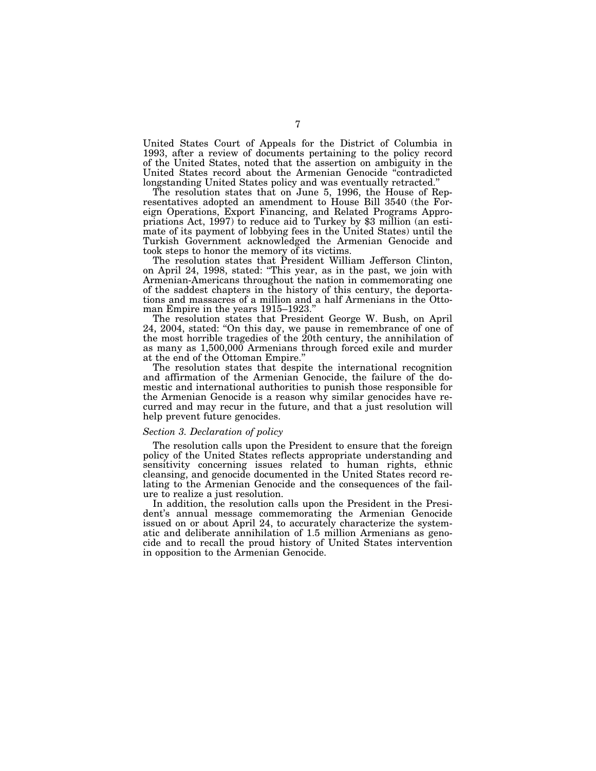United States Court of Appeals for the District of Columbia in 1993, after a review of documents pertaining to the policy record of the United States, noted that the assertion on ambiguity in the United States record about the Armenian Genocide ''contradicted longstanding United States policy and was eventually retracted.''

The resolution states that on June 5, 1996, the House of Representatives adopted an amendment to House Bill 3540 (the Foreign Operations, Export Financing, and Related Programs Appropriations Act, 1997) to reduce aid to Turkey by \$3 million (an estimate of its payment of lobbying fees in the United States) until the Turkish Government acknowledged the Armenian Genocide and took steps to honor the memory of its victims.

The resolution states that President William Jefferson Clinton, on April 24, 1998, stated: ''This year, as in the past, we join with Armenian-Americans throughout the nation in commemorating one of the saddest chapters in the history of this century, the deportations and massacres of a million and a half Armenians in the Ottoman Empire in the years 1915–1923.''

The resolution states that President George W. Bush, on April 24, 2004, stated: ''On this day, we pause in remembrance of one of the most horrible tragedies of the 20th century, the annihilation of as many as 1,500,000 Armenians through forced exile and murder at the end of the Ottoman Empire.''

The resolution states that despite the international recognition and affirmation of the Armenian Genocide, the failure of the domestic and international authorities to punish those responsible for the Armenian Genocide is a reason why similar genocides have recurred and may recur in the future, and that a just resolution will help prevent future genocides.

## *Section 3. Declaration of policy*

The resolution calls upon the President to ensure that the foreign policy of the United States reflects appropriate understanding and sensitivity concerning issues related to human rights, ethnic cleansing, and genocide documented in the United States record relating to the Armenian Genocide and the consequences of the failure to realize a just resolution.

In addition, the resolution calls upon the President in the President's annual message commemorating the Armenian Genocide issued on or about April 24, to accurately characterize the systematic and deliberate annihilation of 1.5 million Armenians as genocide and to recall the proud history of United States intervention in opposition to the Armenian Genocide.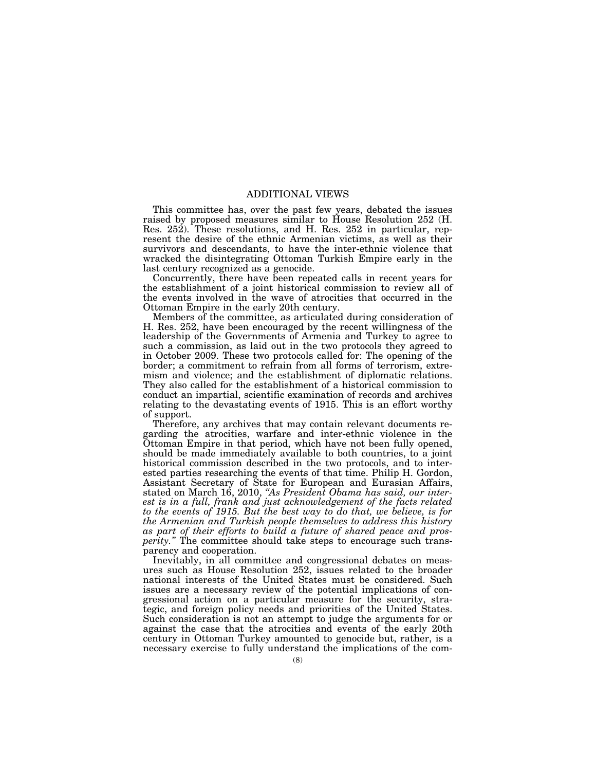# ADDITIONAL VIEWS

This committee has, over the past few years, debated the issues raised by proposed measures similar to House Resolution 252 (H. Res. 252). These resolutions, and H. Res. 252 in particular, represent the desire of the ethnic Armenian victims, as well as their survivors and descendants, to have the inter-ethnic violence that wracked the disintegrating Ottoman Turkish Empire early in the last century recognized as a genocide.

Concurrently, there have been repeated calls in recent years for the establishment of a joint historical commission to review all of the events involved in the wave of atrocities that occurred in the Ottoman Empire in the early 20th century.

Members of the committee, as articulated during consideration of H. Res. 252, have been encouraged by the recent willingness of the leadership of the Governments of Armenia and Turkey to agree to such a commission, as laid out in the two protocols they agreed to in October 2009. These two protocols called for: The opening of the border; a commitment to refrain from all forms of terrorism, extremism and violence; and the establishment of diplomatic relations. They also called for the establishment of a historical commission to conduct an impartial, scientific examination of records and archives relating to the devastating events of 1915. This is an effort worthy of support.

Therefore, any archives that may contain relevant documents regarding the atrocities, warfare and inter-ethnic violence in the Ottoman Empire in that period, which have not been fully opened, should be made immediately available to both countries, to a joint historical commission described in the two protocols, and to interested parties researching the events of that time. Philip H. Gordon, Assistant Secretary of State for European and Eurasian Affairs, stated on March 16, 2010, *''As President Obama has said, our interest is in a full, frank and just acknowledgement of the facts related to the events of 1915. But the best way to do that, we believe, is for the Armenian and Turkish people themselves to address this history as part of their efforts to build a future of shared peace and prosperity.''* The committee should take steps to encourage such transparency and cooperation.

Inevitably, in all committee and congressional debates on measures such as House Resolution 252, issues related to the broader national interests of the United States must be considered. Such issues are a necessary review of the potential implications of congressional action on a particular measure for the security, strategic, and foreign policy needs and priorities of the United States. Such consideration is not an attempt to judge the arguments for or against the case that the atrocities and events of the early 20th century in Ottoman Turkey amounted to genocide but, rather, is a necessary exercise to fully understand the implications of the com-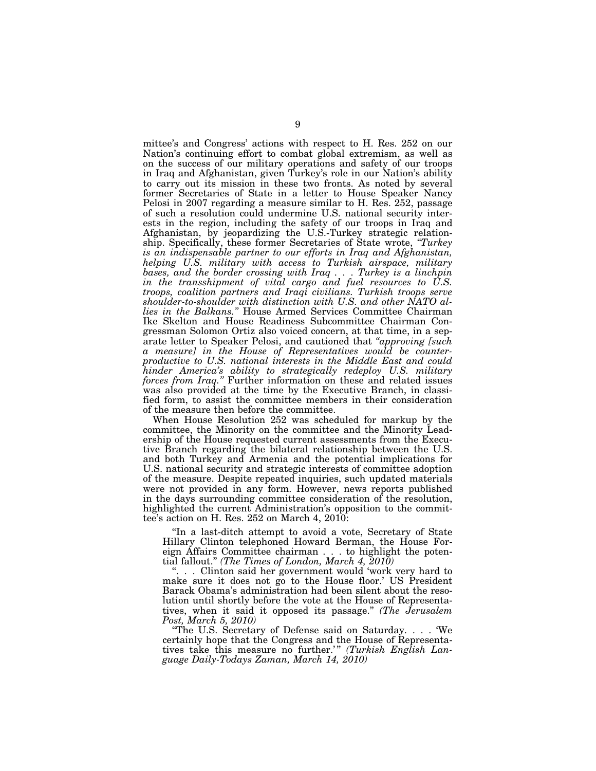mittee's and Congress' actions with respect to H. Res. 252 on our Nation's continuing effort to combat global extremism, as well as on the success of our military operations and safety of our troops in Iraq and Afghanistan, given Turkey's role in our Nation's ability to carry out its mission in these two fronts. As noted by several former Secretaries of State in a letter to House Speaker Nancy Pelosi in 2007 regarding a measure similar to H. Res. 252, passage of such a resolution could undermine U.S. national security interests in the region, including the safety of our troops in Iraq and Afghanistan, by jeopardizing the U.S.-Turkey strategic relationship. Specifically, these former Secretaries of State wrote, *''Turkey is an indispensable partner to our efforts in Iraq and Afghanistan, helping U.S. military with access to Turkish airspace, military bases, and the border crossing with Iraq . . . Turkey is a linchpin in the transshipment of vital cargo and fuel resources to U.S. troops, coalition partners and Iraqi civilians. Turkish troops serve shoulder-to-shoulder with distinction with U.S. and other NATO allies in the Balkans.''* House Armed Services Committee Chairman Ike Skelton and House Readiness Subcommittee Chairman Congressman Solomon Ortiz also voiced concern, at that time, in a separate letter to Speaker Pelosi, and cautioned that *''approving [such a measure] in the House of Representatives would be counterproductive to U.S. national interests in the Middle East and could hinder America's ability to strategically redeploy U.S. military forces from Iraq.''* Further information on these and related issues was also provided at the time by the Executive Branch, in classified form, to assist the committee members in their consideration of the measure then before the committee.

When House Resolution 252 was scheduled for markup by the committee, the Minority on the committee and the Minority Leadership of the House requested current assessments from the Executive Branch regarding the bilateral relationship between the U.S. and both Turkey and Armenia and the potential implications for U.S. national security and strategic interests of committee adoption of the measure. Despite repeated inquiries, such updated materials were not provided in any form. However, news reports published in the days surrounding committee consideration of the resolution, highlighted the current Administration's opposition to the committee's action on H. Res. 252 on March 4, 2010:

''In a last-ditch attempt to avoid a vote, Secretary of State Hillary Clinton telephoned Howard Berman, the House Foreign Affairs Committee chairman . . . to highlight the potential fallout.'' *(The Times of London, March 4, 2010)* 

''. . . Clinton said her government would 'work very hard to make sure it does not go to the House floor.' US President Barack Obama's administration had been silent about the resolution until shortly before the vote at the House of Representatives, when it said it opposed its passage.'' *(The Jerusalem Post, March 5, 2010)* 

''The U.S. Secretary of Defense said on Saturday. . . . 'We certainly hope that the Congress and the House of Representatives take this measure no further.'" (Turkish English Lan*guage Daily-Todays Zaman, March 14, 2010)*